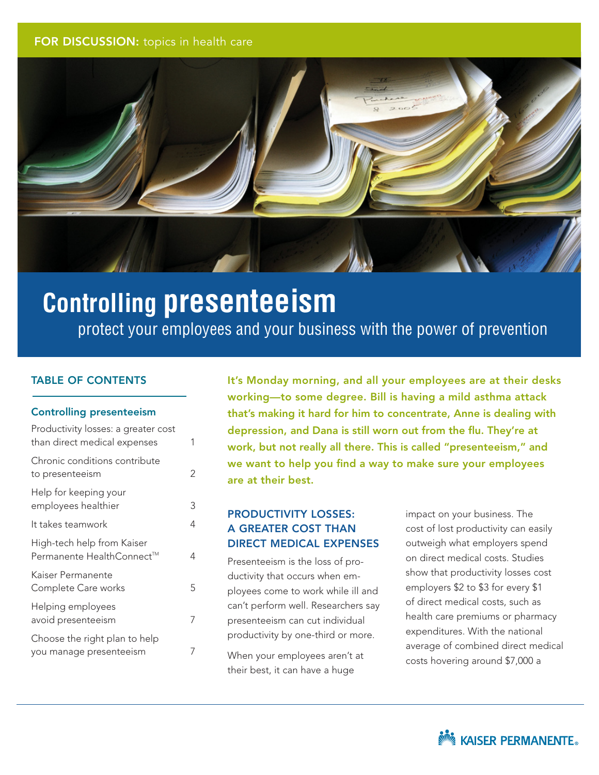#### <span id="page-0-0"></span>FOR DISCUSSION: topics in health care



# **Controlling presenteeism**

 protect your employees and your business with the power of prevention

#### TABLE OF CONTENTS

#### Controlling presenteeism

| Productivity losses: a greater cost<br>than direct medical expenses | 1 |
|---------------------------------------------------------------------|---|
| Chronic conditions contribute<br>to presenteeism                    | 2 |
| Help for keeping your<br>employees healthier                        | 3 |
| It takes teamwork                                                   | 4 |
| High-tech help from Kaiser<br>Permanente HealthConnect™             | 4 |
| Kaiser Permanente<br>Complete Care works                            | 5 |
| Helping employees<br>avoid presenteeism                             | 7 |
| Choose the right plan to help<br>you manage presenteeism            |   |

It's Monday morning, and all your employees are at their desks working—to some degree. Bill is having a mild asthma attack that's making it hard for him to concentrate, Anne is dealing with depression, and Dana is still worn out from the flu. They're at work, but not really all there. This is called "presenteeism," and we want to help you find a way to make sure your employees are at their best.

# PRODUCTIVITY LOSSES: A GREATER COST THAN DIRECT MEDICAL EXPENSES

Presenteeism is the loss of productivity that occurs when employees come to work while ill and can't perform well. Researchers say presenteeism can cut individual productivity by one-third or more.

When your employees aren't at their best, it can have a huge

impact on your business. The cost of lost productivity can easily outweigh what employers spend on direct medical costs. Studies show that productivity losses cost employers \$2 to \$3 for every \$1 of direct medical costs, such as health care premiums or pharmacy expenditures. With the national average of combined direct medical costs hovering around \$7,000 a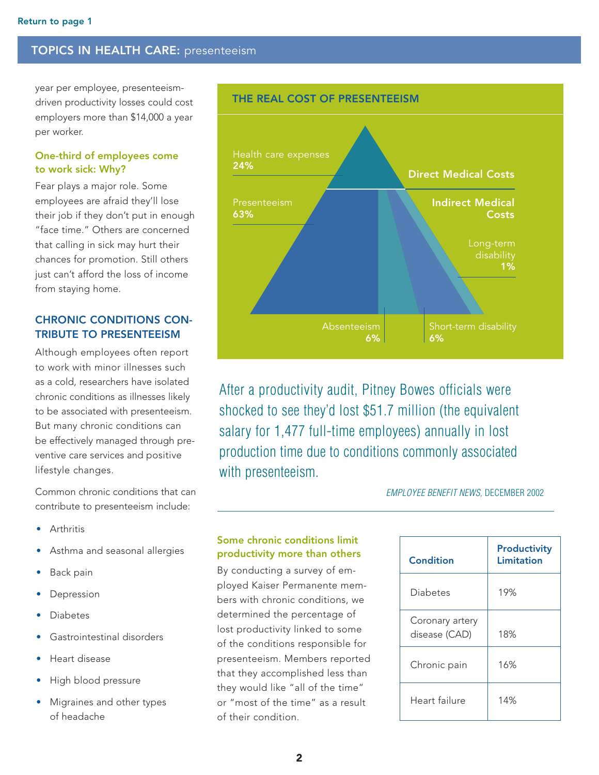<span id="page-1-0"></span>year per employee, presenteeismdriven productivity losses could cost employers more than \$14,000 a year per worker.

#### One-third of employees come to work sick: Why?

Fear plays a major role. Some employees are afraid they'll lose their job if they don't put in enough "face time." Others are concerned that calling in sick may hurt their chances for promotion. Still others just can't afford the loss of income from staying home.

# CHRONIC CONDITIONS CON-TRIBUTE TO PRESENTEEISM

Although employees often report to work with minor illnesses such as a cold, researchers have isolated chronic conditions as illnesses likely to be associated with presenteeism. But many chronic conditions can be effectively managed through preventive care services and positive lifestyle changes.

Common chronic conditions that can contribute to presenteeism include:

- **Arthritis**
- Asthma and seasonal allergies
- Back pain
- **Depression**
- **Diabetes**
- Gastrointestinal disorders
- Heart disease
- High blood pressure
- Migraines and other types of headache



After a productivity audit, Pitney Bowes officials were shocked to see they'd lost \$51.7 million (the equivalent salary for 1,477 full-time employees) annually in lost production time due to conditions commonly associated with presenteeism.

*Employee Benefit News,* December 2002

# Some chronic conditions limit productivity more than others

By conducting a survey of employed Kaiser Permanente members with chronic conditions, we determined the percentage of lost productivity linked to some of the conditions responsible for presenteeism. Members reported that they accomplished less than they would like "all of the time" or "most of the time" as a result of their condition.

| Condition                        | <b>Productivity</b><br>Limitation |
|----------------------------------|-----------------------------------|
| Diabetes                         | 19%                               |
| Coronary artery<br>disease (CAD) | 18%                               |
| Chronic pain                     | 16%                               |
| Heart failure                    | 14%                               |

#### THE REAL COST OF PRESENTEEISM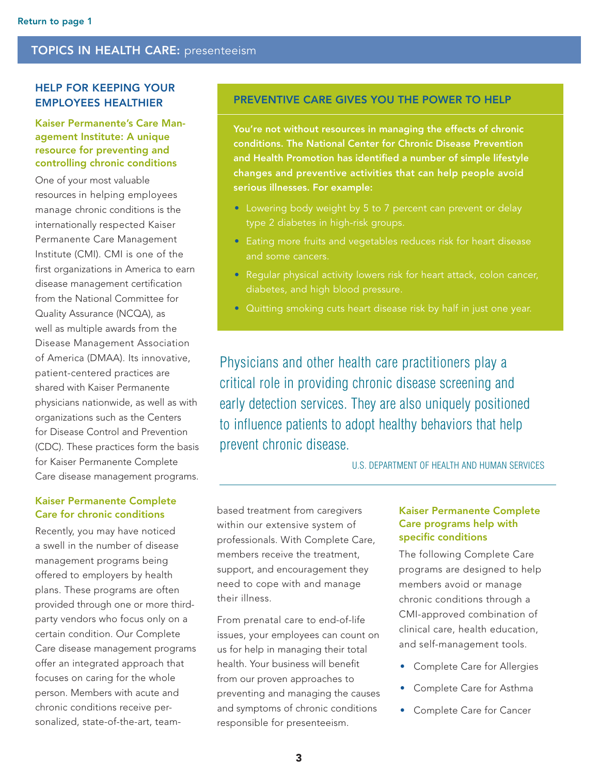# <span id="page-2-0"></span>HELP FOR KEEPING YOUR EMPLOYEES HEALTHIER

Kaiser Permanente's Care Management Institute: A unique resource for preventing and controlling chronic conditions

One of your most valuable resources in helping employees manage chronic conditions is the internationally respected Kaiser Permanente Care Management Institute (CMI). CMI is one of the first organizations in America to earn disease management certification from the National Committee for Quality Assurance (NCQA), as well as multiple awards from the Disease Management Association of America (DMAA). Its innovative, patient-centered practices are shared with Kaiser Permanente physicians nationwide, as well as with organizations such as the Centers for Disease Control and Prevention (CDC). These practices form the basis for Kaiser Permanente Complete Care disease management programs.

#### Kaiser Permanente Complete Care for chronic conditions

Recently, you may have noticed a swell in the number of disease management programs being offered to employers by health plans. These programs are often provided through one or more thirdparty vendors who focus only on a certain condition. Our Complete Care disease management programs offer an integrated approach that focuses on caring for the whole person. Members with acute and chronic conditions receive personalized, state-of-the-art, team-

# PREVENTIVE CARE GIVES YOU THE POWER TO HELP

You're not without resources in managing the effects of chronic conditions. The National Center for Chronic Disease Prevention and Health Promotion has identified a number of simple lifestyle changes and preventive activities that can help people avoid serious illnesses. For example:

- Lowering body weight by 5 to 7 percent can prevent or delay type 2 diabetes in high-risk groups.
- Eating more fruits and vegetables reduces risk for heart disease and some cancers.
- Regular physical activity lowers risk for heart attack, colon cancer, diabetes, and high blood pressure.
- Quitting smoking cuts heart disease risk by half in just one year.

Physicians and other health care practitioners play a critical role in providing chronic disease screening and early detection services. They are also uniquely positioned to influence patients to adopt healthy behaviors that help prevent chronic disease.

U.S. Department of Health and Human Services

based treatment from caregivers within our extensive system of professionals. With Complete Care, members receive the treatment, support, and encouragement they need to cope with and manage their illness.

From prenatal care to end-of-life issues, your employees can count on us for help in managing their total health. Your business will benefit from our proven approaches to preventing and managing the causes and symptoms of chronic conditions responsible for presenteeism.

#### Kaiser Permanente Complete Care programs help with specific conditions

The following Complete Care programs are designed to help members avoid or manage chronic conditions through a CMI-approved combination of clinical care, health education, and self-management tools.

- Complete Care for Allergies
- • Complete Care for Asthma
- Complete Care for Cancer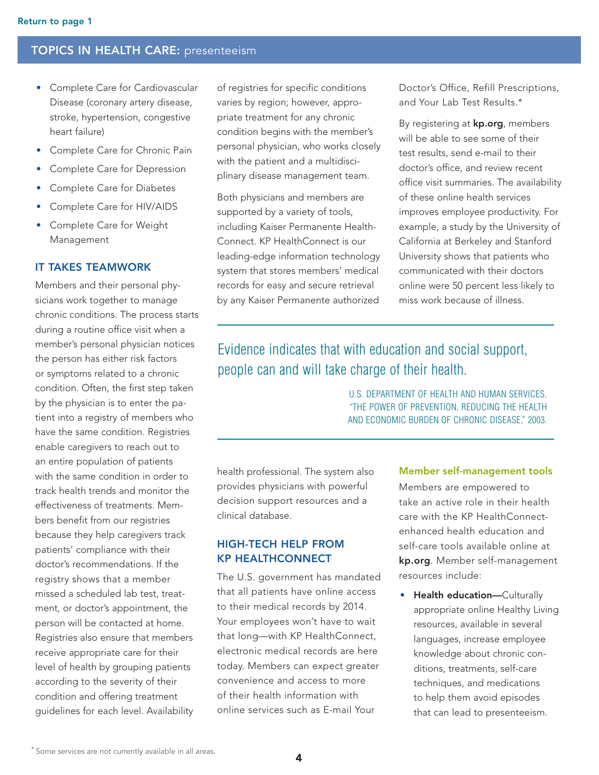- <span id="page-3-0"></span>• Complete Care for Cardiovascular Disease (coronary artery disease, stroke, hypertension, congestive heart failure)
- Complete Care for Chronic Pain
- Complete Care for Depression
- **Complete Care for Diabetes**
- Complete Care for HIV/AIDS
- • Complete Care for Weight Management

#### IT TAKES TEAMWORK

Members and their personal physicians work together to manage chronic conditions. The process starts during a routine office visit when a member's personal physician notices the person has either risk factors or symptoms related to a chronic condition. Often, the first step taken by the physician is to enter the patient into a registry of members who have the same condition. Registries enable caregivers to reach out to an entire population of patients with the same condition in order to track health trends and monitor the effectiveness of treatments. Members benefit from our registries because they help caregivers track patients' compliance with their doctor's recommendations. If the registry shows that a member missed a scheduled lab test, treatment, or doctor's appointment, the person will be contacted at home. Registries also ensure that members receive appropriate care for their level of health by grouping patients according to the severity of their condition and offering treatment guidelines for each level. Availability

of registries for specific conditions varies by region; however, appropriate treatment for any chronic condition begins with the member's personal physician, who works closely with the patient and a multidisciplinary disease management team.

Both physicians and members are supported by a variety of tools, including Kaiser Permanente Health-Connect. KP HealthConnect is our leading-edge information technology system that stores members' medical records for easy and secure retrieval by any Kaiser Permanente authorized

Doctor's Office, Refill Prescriptions, and Your Lab Test Results.\*

By registering at **kp.org**, members will be able to see some of their test results, send e-mail to their doctor's office, and review recent office visit summaries. The availability of these online health services improves employee productivity. For example, a study by the University of California at Berkeley and Stanford University shows that patients who communicated with their doctors online were 50 percent less likely to miss work because of illness.

# Evidence indicates that with education and social support, people can and will take charge of their health.

U.S. Department of Health and Human Services, "The Power of Prevention, Reducing the Health and Economic Burden of Chronic Disease," 2003.

health professional. The system also provides physicians with powerful decision support resources and a clinical database.

# high-tech help from KP HealthConnect

The U.S. government has mandated that all patients have online access to their medical records by 2014. Your employees won't have to wait that long—with KP HealthConnect, electronic medical records are here today. Members can expect greater convenience and access to more of their health information with online services such as E-mail Your

#### Member self-management tools

Members are empowered to take an active role in their health care with the KP HealthConnectenhanced health education and self-care tools available online at kp.org. Member self-management resources include:

• Health education—Culturally appropriate online Healthy Living resources, available in several languages, increase employee knowledge about chronic conditions, treatments, self-care techniques, and medications to help them avoid episodes that can lead to presenteeism.

<sup>\*</sup> Some services are not currently available in all areas.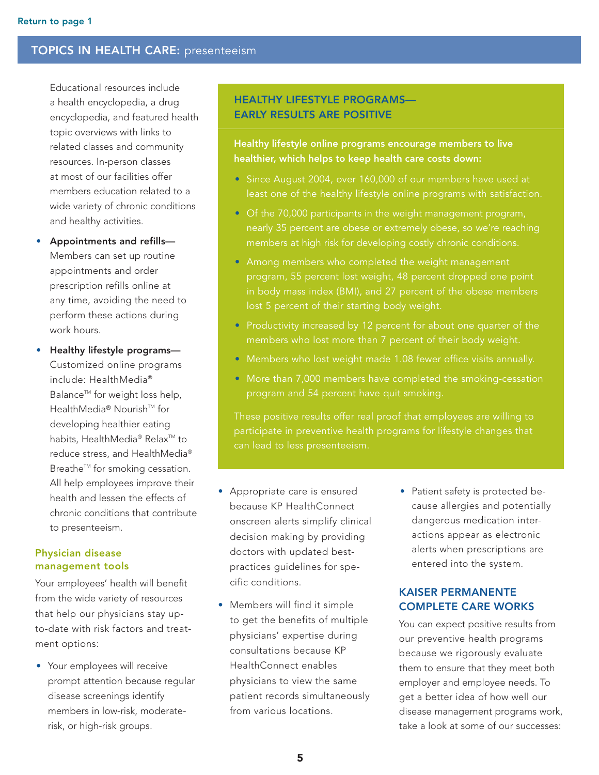<span id="page-4-0"></span>Educational resources include a health encyclopedia, a drug encyclopedia, and featured health topic overviews with links to related classes and community resources. In-person classes at most of our facilities offer members education related to a wide variety of chronic conditions and healthy activities.

- Appointments and refills-Members can set up routine appointments and order prescription refills online at any time, avoiding the need to perform these actions during work hours.
- Healthy lifestyle programs-Customized online programs include: HealthMedia® Balance<sup>™</sup> for weight loss help, HealthMedia® Nourish<sup>™</sup> for developing healthier eating habits, HealthMedia® Relax<sup>™</sup> to reduce stress, and HealthMedia® Breathe<sup>™</sup> for smoking cessation. All help employees improve their health and lessen the effects of chronic conditions that contribute to presenteeism.

#### Physician disease management tools

Your employees' health will benefit from the wide variety of resources that help our physicians stay upto-date with risk factors and treatment options:

• Your employees will receive prompt attention because regular disease screenings identify members in low-risk, moderaterisk, or high-risk groups.

# HEALTHY LIFESTYLE PROGRAMS— EARLY RESULTS ARE POSITIVE

#### Healthy lifestyle online programs encourage members to live healthier, which helps to keep health care costs down:

- Since August 2004, over 160,000 of our members have used at
- Of the 70,000 participants in the weight management program, nearly 35 percent are obese or extremely obese, so we're reaching members at high risk for developing costly chronic conditions.
- Among members who completed the weight management program, 55 percent lost weight, 48 percent dropped one point in body mass index (BMI), and 27 percent of the obese members lost 5 percent of their starting body weight.
- Productivity increased by 12 percent for about one quarter of the members who lost more than 7 percent of their body weight.
- Members who lost weight made 1.08 fewer office visits annually.
- More than 7,000 members have completed the smoking-cessation

- Appropriate care is ensured because KP HealthConnect onscreen alerts simplify clinical decision making by providing doctors with updated bestpractices guidelines for specific conditions.
- Members will find it simple to get the benefits of multiple physicians' expertise during consultations because KP HealthConnect enables physicians to view the same patient records simultaneously from various locations.
- Patient safety is protected because allergies and potentially dangerous medication interactions appear as electronic alerts when prescriptions are entered into the system.

# KAISER PERMANENTE COMPLETE CARE WORKS

You can expect positive results from our preventive health programs because we rigorously evaluate them to ensure that they meet both employer and employee needs. To get a better idea of how well our disease management programs work, take a look at some of our successes: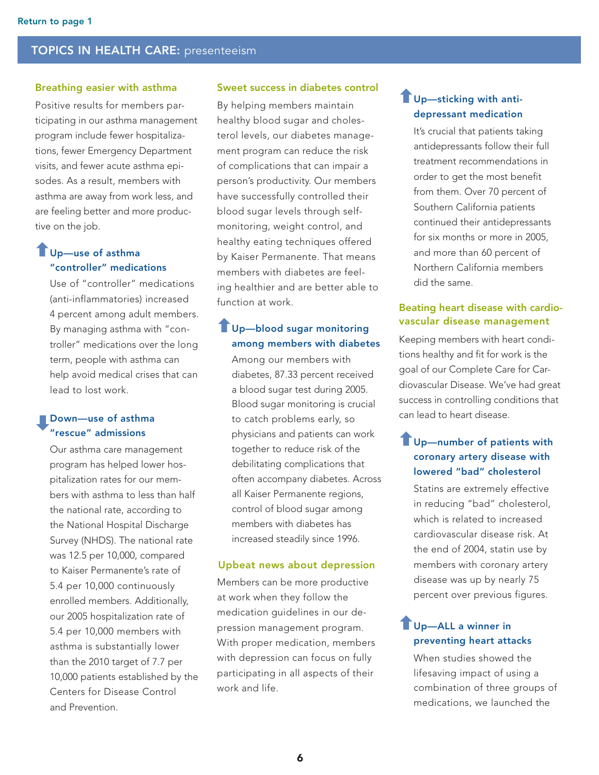#### Breathing easier with asthma

Positive results for members participating in our asthma management program include fewer hospitalizations, fewer Emergency Department visits, and fewer acute asthma episodes. As a result, members with asthma are away from work less, and are feeling better and more productive on the job.

# Up—use of asthma "controller" medications

Use of "controller" medications (anti-inflammatories) increased 4 percent among adult members. By managing asthma with "controller" medications over the long term, people with asthma can help avoid medical crises that can lead to lost work.

# Down—use of asthma "rescue" admissions

Our asthma care management program has helped lower hospitalization rates for our members with asthma to less than half the national rate, according to the National Hospital Discharge Survey (NHDS). The national rate was 12.5 per 10,000, compared to Kaiser Permanente's rate of 5.4 per 10,000 continuously enrolled members. Additionally, our 2005 hospitalization rate of 5.4 per 10,000 members with asthma is substantially lower than the 2010 target of 7.7 per 10,000 patients established by the Centers for Disease Control and Prevention.

#### Sweet success in diabetes control

By helping members maintain healthy blood sugar and cholesterol levels, our diabetes management program can reduce the risk of complications that can impair a person's productivity. Our members have successfully controlled their blood sugar levels through selfmonitoring, weight control, and healthy eating techniques offered by Kaiser Permanente. That means members with diabetes are feeling healthier and are better able to function at work.

# Up—blood sugar monitoring among members with diabetes

Among our members with diabetes, 87.33 percent received a blood sugar test during 2005. Blood sugar monitoring is crucial to catch problems early, so physicians and patients can work together to reduce risk of the debilitating complications that often accompany diabetes. Across all Kaiser Permanente regions, control of blood sugar among members with diabetes has increased steadily since 1996.

#### Upbeat news about depression

Members can be more productive at work when they follow the medication guidelines in our depression management program. With proper medication, members with depression can focus on fully participating in all aspects of their work and life.

# **T**Up-sticking with antidepressant medication

It's crucial that patients taking antidepressants follow their full treatment recommendations in order to get the most benefit from them. Over 70 percent of Southern California patients continued their antidepressants for six months or more in 2005, and more than 60 percent of Northern California members did the same.

#### Beating heart disease with cardiovascular disease management

Keeping members with heart conditions healthy and fit for work is the goal of our Complete Care for Cardiovascular Disease. We've had great success in controlling conditions that can lead to heart disease.

# **T**Up-number of patients with coronary artery disease with lowered "bad" cholesterol

Statins are extremely effective in reducing "bad" cholesterol, which is related to increased cardiovascular disease risk. At the end of 2004, statin use by members with coronary artery disease was up by nearly 75 percent over previous figures.

# **Up-ALL a winner in** preventing heart attacks

When studies showed the lifesaving impact of using a combination of three groups of medications, we launched the